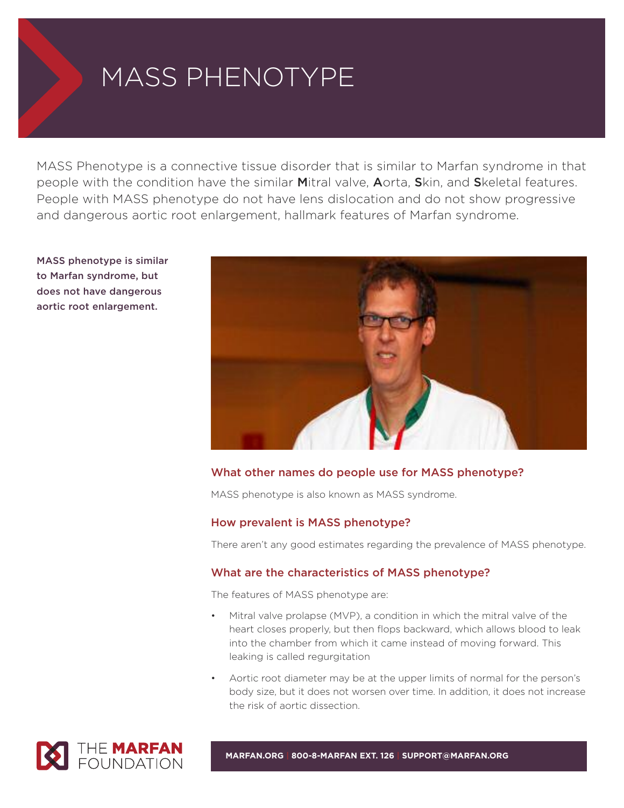# MASS PHENOTYPE

MASS Phenotype is a connective tissue disorder that is similar to Marfan syndrome in that people with the condition have the similar **M**itral valve, **A**orta, **S**kin, and **S**keletal features. People with MASS phenotype do not have lens dislocation and do not show progressive and dangerous aortic root enlargement, hallmark features of Marfan syndrome.

**MASS phenotype is similar to Marfan syndrome, but does not have dangerous aortic root enlargement.**



# **What other names do people use for MASS phenotype?**

MASS phenotype is also known as MASS syndrome.

# **How prevalent is MASS phenotype?**

There aren't any good estimates regarding the prevalence of MASS phenotype.

# **What are the characteristics of MASS phenotype?**

The features of MASS phenotype are:

- Mitral valve prolapse (MVP), a condition in which the mitral valve of the heart closes properly, but then flops backward, which allows blood to leak into the chamber from which it came instead of moving forward. This leaking is called regurgitation
- Aortic root diameter may be at the upper limits of normal for the person's body size, but it does not worsen over time. In addition, it does not increase the risk of aortic dissection.



**MARFAN.ORG | 800-8-MARFAN EXT. 126 | SUPPORT@MARFAN.ORG**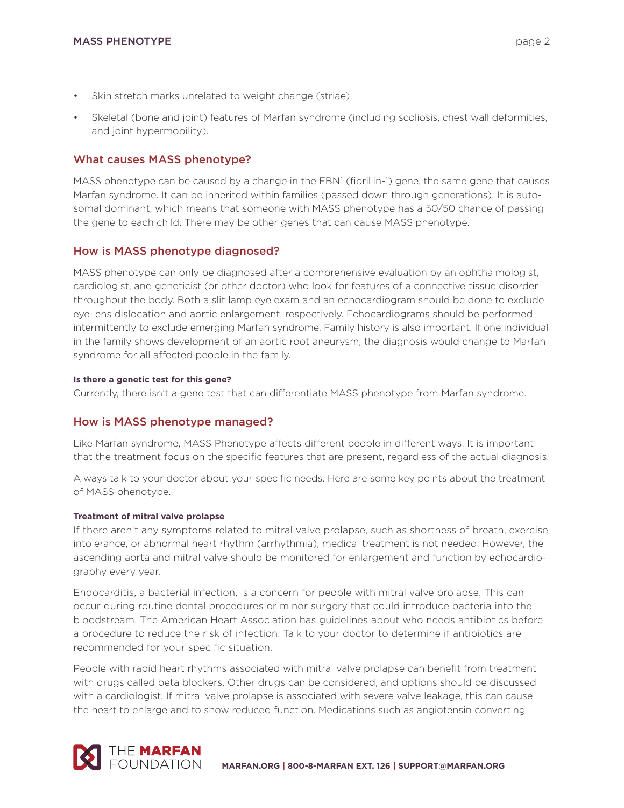- Skin stretch marks unrelated to weight change (striae).
- Skeletal (bone and joint) features of Marfan syndrome (including scoliosis, chest wall deformities, and joint hypermobility).

# **What causes MASS phenotype?**

MASS phenotype can be caused by a change in the FBN1 (fibrillin-1) gene, the same gene that causes Marfan syndrome. It can be inherited within families (passed down through generations). It is autosomal dominant, which means that someone with MASS phenotype has a 50/50 chance of passing the gene to each child. There may be other genes that can cause MASS phenotype.

# **How is MASS phenotype diagnosed?**

MASS phenotype can only be diagnosed after a comprehensive evaluation by an ophthalmologist, cardiologist, and geneticist (or other doctor) who look for features of a connective tissue disorder throughout the body. Both a slit lamp eye exam and an echocardiogram should be done to exclude eye lens dislocation and aortic enlargement, respectively. Echocardiograms should be performed intermittently to exclude emerging Marfan syndrome. Family history is also important. If one individual in the family shows development of an aortic root aneurysm, the diagnosis would change to Marfan syndrome for all affected people in the family.

## **Is there a genetic test for this gene?**

Currently, there isn't a gene test that can differentiate MASS phenotype from Marfan syndrome.

# **How is MASS phenotype managed?**

Like Marfan syndrome, MASS Phenotype affects different people in different ways. It is important that the treatment focus on the specific features that are present, regardless of the actual diagnosis.

Always talk to your doctor about your specific needs. Here are some key points about the treatment of MASS phenotype.

## **Treatment of mitral valve prolapse**

If there aren't any symptoms related to mitral valve prolapse, such as shortness of breath, exercise intolerance, or abnormal heart rhythm (arrhythmia), medical treatment is not needed. However, the ascending aorta and mitral valve should be monitored for enlargement and function by echocardiography every year.

Endocarditis, a bacterial infection, is a concern for people with mitral valve prolapse. This can occur during routine dental procedures or minor surgery that could introduce bacteria into the bloodstream. The American Heart Association has guidelines about who needs antibiotics before a procedure to reduce the risk of infection. Talk to your doctor to determine if antibiotics are recommended for your specific situation.

People with rapid heart rhythms associated with mitral valve prolapse can benefit from treatment with drugs called beta blockers. Other drugs can be considered, and options should be discussed with a cardiologist. If mitral valve prolapse is associated with severe valve leakage, this can cause the heart to enlarge and to show reduced function. Medications such as angiotensin converting